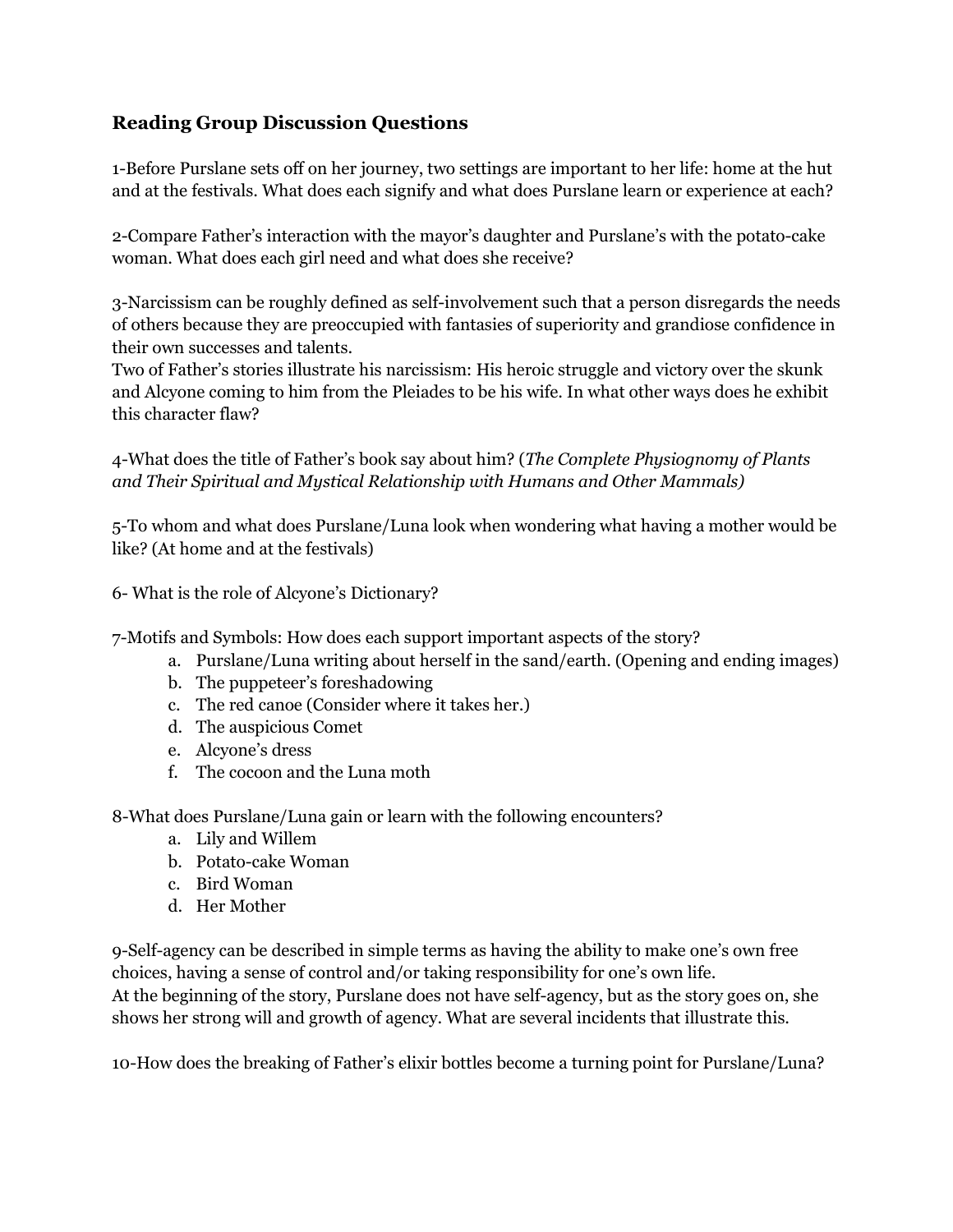## **Reading Group Discussion Questions**

1-Before Purslane sets off on her journey, two settings are important to her life: home at the hut and at the festivals. What does each signify and what does Purslane learn or experience at each?

2-Compare Father's interaction with the mayor's daughter and Purslane's with the potato-cake woman. What does each girl need and what does she receive?

3-Narcissism can be roughly defined as self-involvement such that a person disregards the needs of others because they are preoccupied with fantasies of superiority and grandiose confidence in their own successes and talents.

Two of Father's stories illustrate his narcissism: His heroic struggle and victory over the skunk and Alcyone coming to him from the Pleiades to be his wife. In what other ways does he exhibit this character flaw?

4-What does the title of Father's book say about him? (*The Complete Physiognomy of Plants and Their Spiritual and Mystical Relationship with Humans and Other Mammals)*

5-To whom and what does Purslane/Luna look when wondering what having a mother would be like? (At home and at the festivals)

6- What is the role of Alcyone's Dictionary?

7-Motifs and Symbols: How does each support important aspects of the story?

- a. Purslane/Luna writing about herself in the sand/earth. (Opening and ending images)
- b. The puppeteer's foreshadowing
- c. The red canoe (Consider where it takes her.)
- d. The auspicious Comet
- e. Alcyone's dress
- f. The cocoon and the Luna moth

8-What does Purslane/Luna gain or learn with the following encounters?

- a. Lily and Willem
- b. Potato-cake Woman
- c. Bird Woman
- d. Her Mother

9-Self-agency can be described in simple terms as having the ability to make one's own free choices, having a sense of control and/or taking responsibility for one's own life. At the beginning of the story, Purslane does not have self-agency, but as the story goes on, she shows her strong will and growth of agency. What are several incidents that illustrate this.

10-How does the breaking of Father's elixir bottles become a turning point for Purslane/Luna?